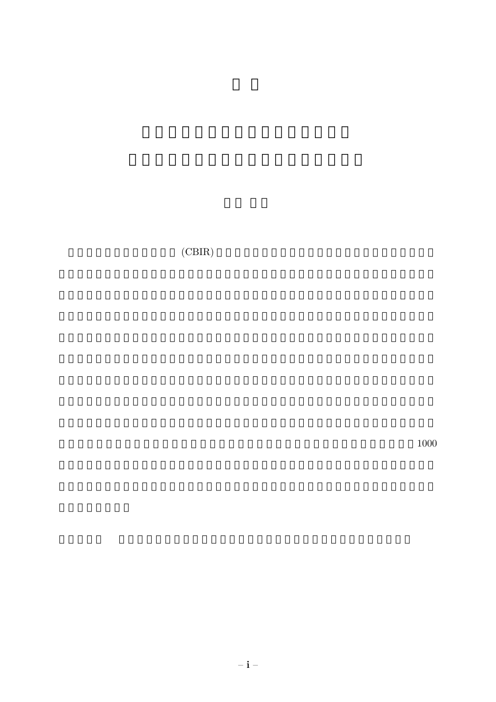$(CBIR)$ 

 $1000$